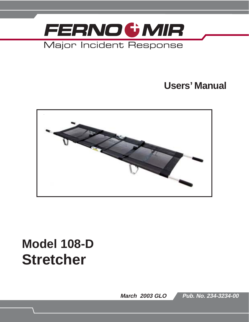

## **Users' Manual**



# **Model 108-D Stretcher**

**March 2003 GLO**

**Pub. No. 234-3234-00**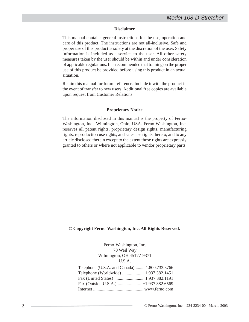#### **Disclaimer**

This manual contains general instructions for the use, operation and care of this product. The instructions are not all-inclusive. Safe and proper use of this product is solely at the discretion of the user. Safety information is included as a service to the user. All other safety measures taken by the user should be within and under consideration of applicable regulations. It is recommended that training on the proper use of this product be provided before using this product in an actual situation.

Retain this manual for future reference. Include it with the product in the event of transfer to new users. Additional free copies are available upon request from Customer Relations.

#### **Proprietary Notice**

The information disclosed in this manual is the property of Ferno-Washington, Inc., Wilmington, Ohio, USA. Ferno-Washington, Inc. reserves all patent rights, proprietary design rights, manufacturing rights, reproduction use rights, and sales use rights thereto, and to any article disclosed therein except to the extent those rights are expressly granted to others or where not applicable to vendor proprietary parts.

#### **© Copyright Ferno-Washington, Inc. All Rights Reserved.**

Ferno-Washington, Inc. 70 Weil Way Wilmington, OH 45177-9371 U.S.A.

| Telephone (U.S.A. and Canada)  1.800.733.3766 |  |
|-----------------------------------------------|--|
| Telephone (Worldwide)  +1.937.382.1451        |  |
|                                               |  |
|                                               |  |
|                                               |  |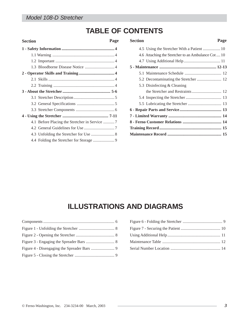### **TABLE OF CONTENTS**

| <b>Section</b> | Page |
|----------------|------|
|                |      |
|                |      |
|                |      |
|                |      |
|                |      |
|                |      |
|                |      |
|                |      |
|                |      |
|                |      |
|                |      |
|                |      |
|                |      |
|                |      |
|                |      |
|                |      |
|                |      |

| <b>Section</b> |                                                    | Page |
|----------------|----------------------------------------------------|------|
|                |                                                    |      |
|                | 4.6 Attaching the Stretcher to an Ambulance Cot 10 |      |
|                |                                                    |      |
|                |                                                    |      |
|                |                                                    |      |
|                |                                                    |      |
|                | 5.3 Disinfecting & Cleaning                        |      |
|                |                                                    |      |
|                |                                                    |      |
|                |                                                    |      |
|                |                                                    |      |
|                |                                                    |      |
|                |                                                    |      |
|                |                                                    |      |
|                |                                                    |      |
|                |                                                    |      |

### **ILLUSTRATIONS AND DIAGRAMS**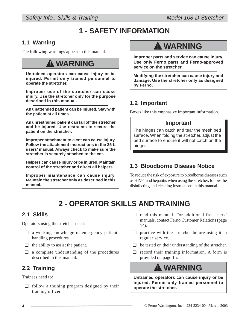## **1 - SAFETY INFORMATION**

### **1.1 Warning**

The following warnings appear in this manual.

## ! **WARNING**

**Untrained operators can cause injury or be injured. Permit only trained personnel to operate the stretcher.**

**Improper use of the stretcher can cause injury. Use the stretcher only for the purpose described in this manual.**

**An unattended patient can be injured. Stay with the patient at all times.**

**An unrestrained patient can fall off the stretcher and be injured. Use restraints to secure the patient on the stretcher.**

**Improper attachment to a cot can cause injury. Follow the attachment instructions in the 35-L users' manual. Always check to make sure the stretcher is securely attached to the cot.**

**Helpers can cause injury or be injured. Maintain control of the stretcher and direct all helpers.**

**Improper maintenance can cause injury. Maintain the stretcher only as described in this manual.**

## ! **WARNING**

**Improper parts and service can cause injury. Use only Ferno parts and Ferno-approved service on the stretcher.**

**Modifying the stretcher can cause injury and damage. Use the stretcher only as designed by Ferno.**

### **1.2 Important**

Boxes like this emphasize important information.

#### **Important**

The hinges can catch and tear the mesh bed surface. When folding the stretcher, adjust the bed surface to ensure it will not catch on the hinges.

### **1.3 Bloodborne Disease Notice**

To reduce the risk of exposure to bloodborne diseases such as HIV-1 and hepatitis when using the stretcher, follow the disinfecting and cleaning instructions in this manual.

## **2 - OPERATOR SKILLS AND TRAINING**

### **2.1 Skills**

Operators using the stretcher need:

- ❑ a working knowledge of emergency patienthandling procedures.
- $\Box$  the ability to assist the patient.
- ❑ a complete understanding of the procedures described in this manual.

### **2.2 Training**

Trainees need to:

❑ follow a training program designed by their training officer.

- ❑ read this manual. For additional free users' manuals, contact Ferno Customer Relations (page 14).
- $\Box$  practice with the stretcher before using it in regular service.
- ❑ be tested on their understanding of the stretcher.
- ❑ record their training information. A form is provided on page 15.

## ! **WARNING**

**Untrained operators can cause injury or be injured. Permit only trained personnel to operate the stretcher.**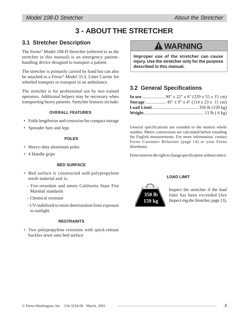## **3 - ABOUT THE STRETCHER**

#### **3.1 Stretcher Description**

The Ferno® Model 108-D Stretcher (referred to as the stretcher in this manual) is an emergency patienthandling device designed to transport a patient.

The stretcher is primarily carried by hand but can also be attached to a Ferno® Model 35-L Litter Carrier for wheeled transport or transport in an ambulance.

The stretcher is for professional use by two trained operators. Additional helpers may be necessary when transporting heavy patients. Stretcher features include:

#### **OVERALL FEATURES**

- Folds lengthwise and crosswise for compact storage
- Spreader bars and legs

#### **POLES**

- Heavy-duty aluminum poles
- 4 Handle grips

#### **BED SURFACE**

- Bed surface is constructed with polypropylene mesh material and is:
	- Fire-retardant and meets California State Fire Marshal standards
	- Chemical resistant
	- UV-stabilized to resist deterioration from exposure to sunlight

#### **RESTRAINTS**

• Two polypropylene restraints with quick-release buckles sewn onto bed surface

## ! **WARNING**

**Improper use of the stretcher can cause injury. Use the stretcher only for the purpose described in this manual.**

### **3.2 General Specifications**

General specifications are rounded to the nearest whole number. Metric conversions are calculated before rounding the English measurements. For more information, contact Ferno Customer Relations (page 14) or your Ferno distributor.

Ferno reserves the right to change specifications without notice.

#### **LOAD LIMIT**



Inspect the stretcher if the load limit has been exceeded (*See Inspect-ing the Stretcher,* page 13).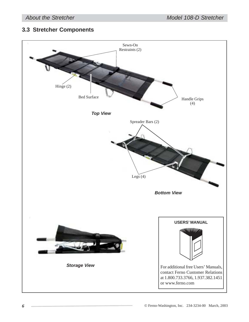### **3.3 Stretcher Components**

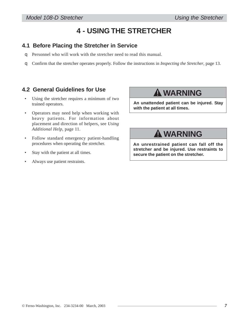### **4 - USING THE STRETCHER**

#### **4.1 Before Placing the Stretcher in Service**

- q Personnel who will work with the stretcher need to read this manual.
- q Confirm that the stretcher operates properly. Follow the instructions in *Inspecting the Stretcher*, page 13.

#### **4.2 General Guidelines for Use**

- Using the stretcher requires a minimum of two trained operators.
- Operators may need help when working with heavy patients. For information about placement and direction of helpers, see *Using Additional Help*, page 11.
- Follow standard emergency patient-handling procedures when operating the stretcher.
- Stay with the patient at all times.
- Always use patient restraints.

## ! **WARNING**

**An unattended patient can be injured. Stay with the patient at all times.**

## ! **WARNING**

**An unrestrained patient can fall off the stretcher and be injured. Use restraints to secure the patient on the stretcher.**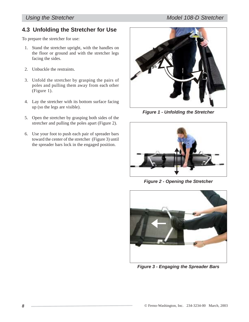### **4.3 Unfolding the Stretcher for Use**

To prepare the stretcher for use:

- 1. Stand the stretcher upright, with the handles on the floor or ground and with the stretcher legs facing the sides.
- 2. Unbuckle the restraints.
- 3. Unfold the stretcher by grasping the pairs of poles and pulling them away from each other (Figure 1).
- 4. Lay the stretcher with its bottom surface facing up (so the legs are visible).
- 5. Open the stretcher by grasping both sides of the stretcher and pulling the poles apart (Figure 2).
- 6. Use your foot to push each pair of spreader bars toward the center of the stretcher (Figure 3) until the spreader bars lock in the engaged position.



*Figure 1 - Unfolding the Stretcher*



*Figure 2 - Opening the Stretcher*



*Figure 3 - Engaging the Spreader Bars*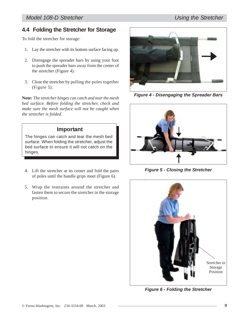### **4.4 Folding the Stretcher for Storage**

To fold the stretcher for storage:

- 1. Lay the stretcher with its bottom surface facing up.
- 2. Disengage the spreader bars by using your foot to push the spreader bars away from the center of the stretcher (Figure 4).
- 3. Close the stretcher by pulling the poles together (Figure 5).

**Note:** *The stretcher hinges can catch and tear the mesh bed surface. Before folding the stretcher, check and make sure the mesh surface will not be caught when the stretcher is folded.*

#### **Important**

The hinges can catch and tear the mesh bed surface. When folding the stretcher, adjust the bed surface to ensure it will not catch on the hinges.

- 4. Lift the stretcher at its center and fold the pairs of poles until the handle grips meet (Figure 6).
- 5. Wrap the restraints around the stretcher and fasten them to secure the stretcher in the storage position.



*Figure 4 - Disengaging the Spreader Bars*



*Figure 5 - Closing the Stretcher*



*Figure 6 - Folding the Stretcher*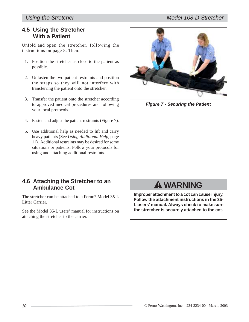#### **4.5 Using the Stretcher With a Patient**

Unfold and open the stretcher, following the instructions on page 8. Then:

- 1. Position the stretcher as close to the patient as possible.
- 2. Unfasten the two patient restraints and position the straps so they will not interfere with transferring the patient onto the stretcher.
- 3. Transfer the patient onto the stretcher according to approved medical procedures and following your local protocols.
- 4. Fasten and adjust the patient restraints (Figure 7).
- 5. Use additional help as needed to lift and carry heavy patients (See *Using Additional Help,* page 11). Additional restraints may be desired for some situations or patients. Follow your protocols for using and attaching additional restraints.



*Figure 7 - Securing the Patient*

#### **4.6 Attaching the Stretcher to an Ambulance Cot**

The stretcher can be attached to a Ferno® Model 35-L Litter Carrier.

See the Model 35-L users' manual for instructions on attaching the stretcher to the carrier.

## ! **WARNING**

**Improper attachment to a cot can cause injury. Follow the attachment instructions in the 35- L users' manual. Always check to make sure the stretcher is securely attached to the cot.**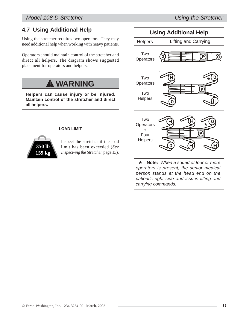*Model 108-D Stretcher Using the Stretcher*

### **4.7 Using Additional Help**

Using the stretcher requires two operators. They may need additional help when working with heavy patients.

Operators should maintain control of the stretcher and direct all helpers. The diagram shows suggested placement for operators and helpers.

## ! **WARNING**

**Helpers can cause injury or be injured. Maintain control of the stretcher and direct all helpers.**

#### **LOAD LIMIT**



Inspect the stretcher if the load limit has been exceeded (*See Inspect-ing the Stretcher,* page 13).



© Ferno-Washington, Inc. 234-3234-00 March, 2003 *11*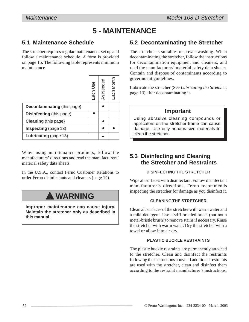### **5 - MAINTENANCE**

### **5.1 Maintenance Schedule**

The stretcher requires regular maintenance. Set up and follow a maintenance schedule. A form is provided on page 15. The following table represents minimum maintenance.

|                                    | Each Use | As Needed | Each Month |
|------------------------------------|----------|-----------|------------|
| <b>Decontaminating (this page)</b> |          |           |            |
| <b>Disinfecting</b> (this page)    |          |           |            |
| <b>Cleaning</b> (this page)        |          |           |            |
| Inspecting (page 13)               |          |           |            |
| Lubricating (page 13)              |          |           |            |

When using maintenance products, follow the manufacturers' directions and read the manufacturers' material safety data sheets.

In the U.S.A., contact Ferno Customer Relations to order Ferno disinfectants and cleaners (page 14).

## ! **WARNING**

**Improper maintenance can cause injury. Maintain the stretcher only as described in this manual.**

#### **5.2 Decontaminating the Stretcher**

The stretcher is suitable for power-washing. When decontaminating the stretcher, follow the instructions for decontamination equipment and cleaners, and read the manufacturers' material safety data sheets. Contain and dispose of contaminants according to government guidelines.

Lubricate the stretcher (See *Lubricating the Stretcher,* page 13) after decontaminating it.

#### **Important**

Using abrasive cleaning compounds or applicators on the stretcher frame can cause damage. Use only nonabrasive materials to clean the stretcher.

### **5.3 Disinfecting and Cleaning the Stretcher and Restraints**

#### **DISINFECTING THE STRETCHER**

Wipe all surfaces with disinfectant. Follow disinfectant manufacturer's directions. Ferno recommends inspecting the stretcher for damage as you disinfect it.

#### **CLEANING THE STRETCHER**

Clean all surfaces of the stretcher with warm water and a mild detergent. Use a stiff-bristled brush (but not a metal-bristle brush) to remove stains if necessary. Rinse the stretcher with warm water. Dry the stretcher with a towel or allow it to air dry.

#### **PLASTIC BUCKLE RESTRAINTS**

The plastic buckle restraints are permanently attached to the stretcher. Clean and disinfect the restraints following the instructions above. If additional restraints are used with the stretcher, clean and disinfect them according to the restraint manufacturer's instructions.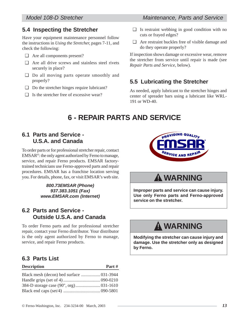#### **5.4 Inspecting the Stretcher**

Have your equipment maintenance personnel follow the instructions in *Using the Stretcher,* pages 7-11, and check the following:

- ❑ Are all components present?
- ❑ Are all drive screws and stainless steel rivets securely in place?
- ❑ Do all moving parts operate smoothly and properly?
- ❑ Do the stretcher hinges require lubricant?
- $\Box$  Is the stretcher free of excessive wear?
- $\Box$  Is restraint webbing in good condition with no cuts or frayed edges?
- ❑ Are restraint buckles free of visible damage and do they operate properly?

If inspection shows damage or excessive wear, remove the stretcher from service until repair is made (see *Repair Parts and Service,* below).

### **5.5 Lubricating the Stretcher**

As needed, apply lubricant to the stretcher hinges and center of spreader bars using a lubricant like WRL-191 or WD-40.

## **6 - REPAIR PARTS AND SERVICE**

#### **6.1 Parts and Service - U.S.A. and Canada**

To order parts or for professional stretcher repair, contact EMSAR®: the only agent authorized by Ferno to manage, service, and repair Ferno products. EMSAR factorytrained technicians use Ferno-approved parts and repair procedures. EMSAR has a franchise location serving you. For details, phone, fax, or visit EMSAR's web site.

> *800.73EMSAR (Phone) 937.383.1051 (Fax) www.EMSAR.com (Internet)*

#### **6.2 Parts and Service - Outside U.S.A. and Canada**

To order Ferno parts and for professional stretcher repair, contact your Ferno distributor. Your distributor is the only agent authorized by Ferno to manage, service, and repair Ferno products.

#### **6.3 Parts List**

#### **Description Part #**



## ! **WARNING**

**Improper parts and service can cause injury. Use only Ferno parts and Ferno-approved service on the stretcher.**

## ! **WARNING**

**Modifying the stretcher can cause injury and damage. Use the stretcher only as designed by Ferno.**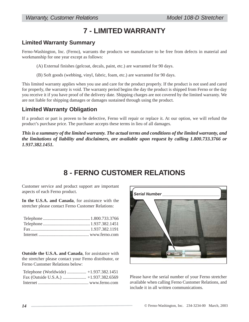## **7 - LIMITED WARRANTY**

#### **Limited Warranty Summary**

Ferno-Washington, Inc. (Ferno), warrants the products we manufacture to be free from defects in material and workmanship for one year except as follows:

(A) External finishes (gelcoat, decals, paint, etc.) are warranted for 90 days.

(B) Soft goods (webbing, vinyl, fabric, foam, etc.) are warranted for 90 days.

This limited warranty applies when you use and care for the product properly. If the product is not used and cared for properly, the warranty is void. The warranty period begins the day the product is shipped from Ferno or the day you receive it if you have proof of the delivery date. Shipping charges are not covered by the limited warranty. We are not liable for shipping damages or damages sustained through using the product.

### **Limited Warranty Obligation**

If a product or part is proven to be defective, Ferno will repair or replace it. At our option, we will refund the product's purchase price. The purchaser accepts these terms in lieu of all damages.

*This is a summary of the limited warranty. The actual terms and conditions of the limited warranty, and the limitations of liability and disclaimers, are available upon request by calling 1.800.733.3766 or 1.937.382.1451.*

### **8 - FERNO CUSTOMER RELATIONS**

Customer service and product support are important aspects of each Ferno product.

**In the U.S.A. and Canada**, for assistance with the stretcher please contact Ferno Customer Relations:

**Outside the U.S.A. and Canada**, for assistance with the stretcher please contact your Ferno distributor, or Ferno Customer Relations below:



Please have the serial number of your Ferno stretcher available when calling Ferno Customer Relations, and include it in all written communications.